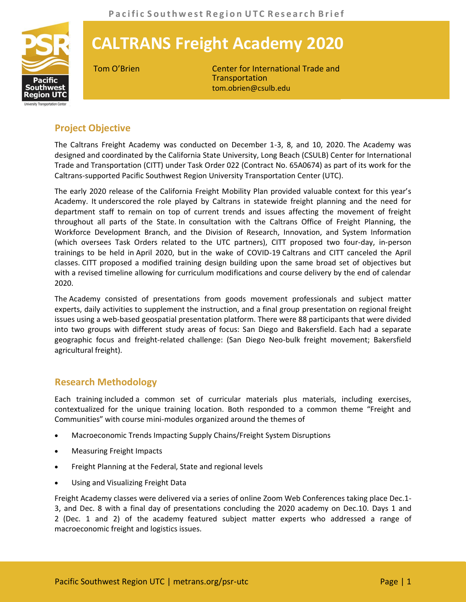

## **CALTRANS Freight Academy 2020**

Tom O'Brien Center for International Trade and **Transportation** tom.obrien@csulb.edu

## **Project Objective**

The Caltrans Freight Academy was conducted on December 1-3, 8, and 10, 2020. The Academy was designed and coordinated by the California State University, Long Beach (CSULB) Center for International Trade and Transportation (CITT) under Task Order 022 (Contract No. 65A0674) as part of its work for the Caltrans-supported Pacific Southwest Region University Transportation Center (UTC).

The early 2020 release of the California Freight Mobility Plan provided valuable context for this year's Academy. It underscored the role played by Caltrans in statewide freight planning and the need for department staff to remain on top of current trends and issues affecting the movement of freight throughout all parts of the State. In consultation with the Caltrans Office of Freight Planning, the Workforce Development Branch, and the Division of Research, Innovation, and System Information (which oversees Task Orders related to the UTC partners), CITT proposed two four-day, in-person trainings to be held in April 2020, but in the wake of COVID-19 Caltrans and CITT canceled the April classes. CITT proposed a modified training design building upon the same broad set of objectives but with a revised timeline allowing for curriculum modifications and course delivery by the end of calendar 2020.

The Academy consisted of presentations from goods movement professionals and subject matter experts, daily activities to supplement the instruction, and a final group presentation on regional freight issues using a web-based geospatial presentation platform. There were 88 participants that were divided into two groups with different study areas of focus: San Diego and Bakersfield. Each had a separate geographic focus and freight-related challenge: (San Diego Neo-bulk freight movement; Bakersfield agricultural freight).

## **Research Methodology**

Each training included a common set of curricular materials plus materials, including exercises, contextualized for the unique training location. Both responded to a common theme "Freight and Communities" with course mini-modules organized around the themes of

- Macroeconomic Trends Impacting Supply Chains/Freight System Disruptions
- Measuring Freight Impacts
- Freight Planning at the Federal, State and regional levels
- Using and Visualizing Freight Data

Freight Academy classes were delivered via a series of online Zoom Web Conferences taking place Dec.1- 3, and Dec. 8 with a final day of presentations concluding the 2020 academy on Dec.10. Days 1 and 2 (Dec. 1 and 2) of the academy featured subject matter experts who addressed a range of macroeconomic freight and logistics issues.